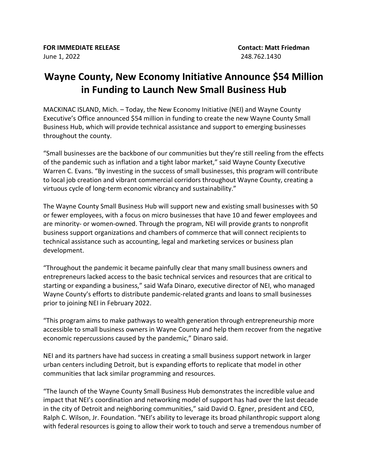## **Wayne County, New Economy Initiative Announce \$54 Million in Funding to Launch New Small Business Hub**

MACKINAC ISLAND, Mich. – Today, the New Economy Initiative (NEI) and Wayne County Executive's Office announced \$54 million in funding to create the new Wayne County Small Business Hub, which will provide technical assistance and support to emerging businesses throughout the county.

"Small businesses are the backbone of our communities but they're still reeling from the effects of the pandemic such as inflation and a tight labor market," said Wayne County Executive Warren C. Evans. "By investing in the success of small businesses, this program will contribute to local job creation and vibrant commercial corridors throughout Wayne County, creating a virtuous cycle of long-term economic vibrancy and sustainability."

The Wayne County Small Business Hub will support new and existing small businesses with 50 or fewer employees, with a focus on micro businesses that have 10 and fewer employees and are minority- or women-owned. Through the program, NEI will provide grants to nonprofit business support organizations and chambers of commerce that will connect recipients to technical assistance such as accounting, legal and marketing services or business plan development.

"Throughout the pandemic it became painfully clear that many small business owners and entrepreneurs lacked access to the basic technical services and resources that are critical to starting or expanding a business," said Wafa Dinaro, executive director of NEI, who managed Wayne County's efforts to distribute pandemic-related grants and loans to small businesses prior to joining NEI in February 2022.

"This program aims to make pathways to wealth generation through entrepreneurship more accessible to small business owners in Wayne County and help them recover from the negative economic repercussions caused by the pandemic," Dinaro said.

NEI and its partners have had success in creating a small business support network in larger urban centers including Detroit, but is expanding efforts to replicate that model in other communities that lack similar programming and resources.

"The launch of the Wayne County Small Business Hub demonstrates the incredible value and impact that NEI's coordination and networking model of support has had over the last decade in the city of Detroit and neighboring communities," said David O. Egner, president and CEO, Ralph C. Wilson, Jr. Foundation. "NEI's ability to leverage its broad philanthropic support along with federal resources is going to allow their work to touch and serve a tremendous number of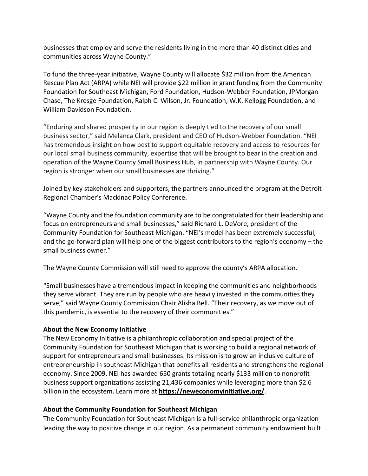businesses that employ and serve the residents living in the more than 40 distinct cities and communities across Wayne County."

To fund the three-year initiative, Wayne County will allocate \$32 million from the American Rescue Plan Act (ARPA) while NEI will provide \$22 million in grant funding from the Community Foundation for Southeast Michigan, Ford Foundation, Hudson-Webber Foundation, JPMorgan Chase, The Kresge Foundation, Ralph C. Wilson, Jr. Foundation, W.K. Kellogg Foundation, and William Davidson Foundation.

"Enduring and shared prosperity in our region is deeply tied to the recovery of our small business sector," said Melanca Clark, president and CEO of Hudson-Webber Foundation. "NEI has tremendous insight on how best to support equitable recovery and access to resources for our local small business community, expertise that will be brought to bear in the creation and operation of the Wayne County Small Business Hub, in partnership with Wayne County. Our region is stronger when our small businesses are thriving."

Joined by key stakeholders and supporters, the partners announced the program at the Detroit Regional Chamber's Mackinac Policy Conference.

"Wayne County and the foundation community are to be congratulated for their leadership and focus on entrepreneurs and small businesses," said Richard L. DeVore, president of the Community Foundation for Southeast Michigan. "NEI's model has been extremely successful, and the go-forward plan will help one of the biggest contributors to the region's economy – the small business owner."

The Wayne County Commission will still need to approve the county's ARPA allocation.

"Small businesses have a tremendous impact in keeping the communities and neighborhoods they serve vibrant. They are run by people who are heavily invested in the communities they serve," said Wayne County Commission Chair Alisha Bell. "Their recovery, as we move out of this pandemic, is essential to the recovery of their communities."

## **About the New Economy Initiative**

The New Economy Initiative is a philanthropic collaboration and special project of the Community Foundation for Southeast Michigan that is working to build a regional network of support for entrepreneurs and small businesses. Its mission is to grow an inclusive culture of entrepreneurship in southeast Michigan that benefits all residents and strengthens the regional economy. Since 2009, NEI has awarded 650 grants totaling nearly \$133 million to nonprofit business support organizations assisting 21,436 companies while leveraging more than \$2.6 billion in the ecosystem. Learn more at **<https://neweconomyinitiative.org/>**.

## **About the Community Foundation for Southeast Michigan**

The Community Foundation for Southeast Michigan is a full-service philanthropic organization leading the way to positive change in our region. As a permanent community endowment built